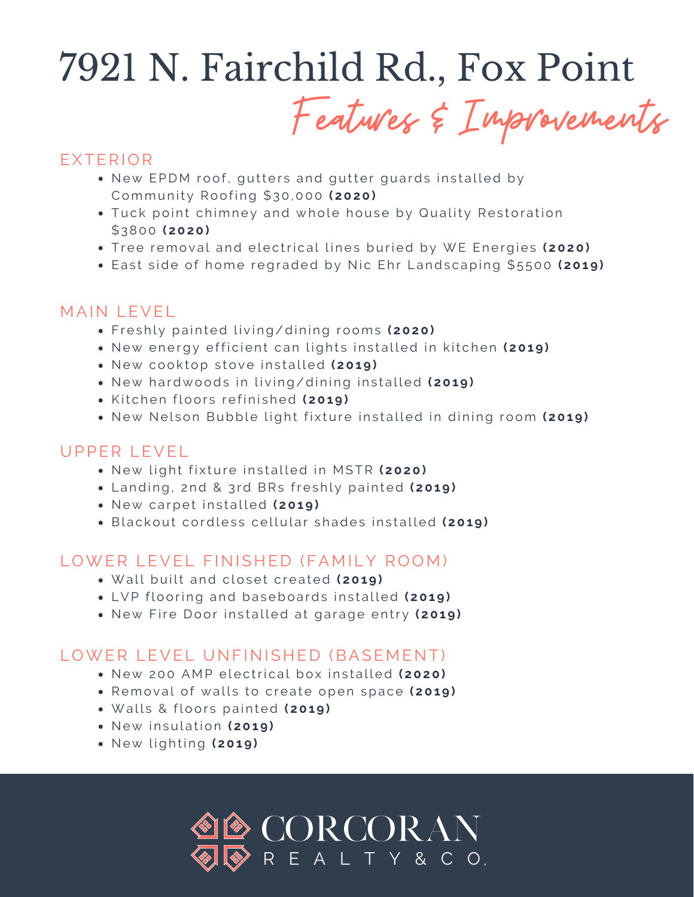## 7921 N. Fairchild Rd., Fox Point

Features & Improvements

## EXTERIOR

- New EPDM roof, gutters and gutter guards installed by Commu n it y Ro o fi ng \$30,000 **( 2020)**
- Tuck point chimney and whole house by Quality Restoration \$3 800 **( 2020)**
- $\bullet$  Tree removal and electrical lines buried by WE Energies (2020)
- East side of home regraded by Nic Ehr Landscaping \$5500 (2019)

#### M AIN LEVEL

- **Freshly painted living/dining rooms (2020)**
- New energy efficient can lights installed in kitchen (2019)
- New cooktop stove installed (2019)
- New hardwoods in living/dining installed (2019)
- $\bullet$  Kitchen floors refinished (2019)
- $\bullet$  New Nelson Bubble light fixture installed in dining room (2019)

### UPPER LEVEL

- New light fixture installed in MSTR (2020)
- Landing, 2nd & 3rd BRs freshly painted (2019)
- **New carpet installed (2019)**
- **Blackout cordless cellular shades installed (2019)**

#### LOWER LEVEL FINISHED (FAMILY ROOM)

- $\bullet$  Wall built and closet created (2019)
- LVP flooring and baseboards installed (2019)
- New Fire Door installed at garage entry (2019)

#### LOWER LEVEL UNFINISHED (BASEMENT)

- New 200 AMP electrical box installed (2020)
- **Removal of walls to create open space (2019)**
- $\bullet$  Walls & floors painted (2019)
- $\bullet$  New insulation (2019)
- Ne w l igh ti ng **( 201 9 )**